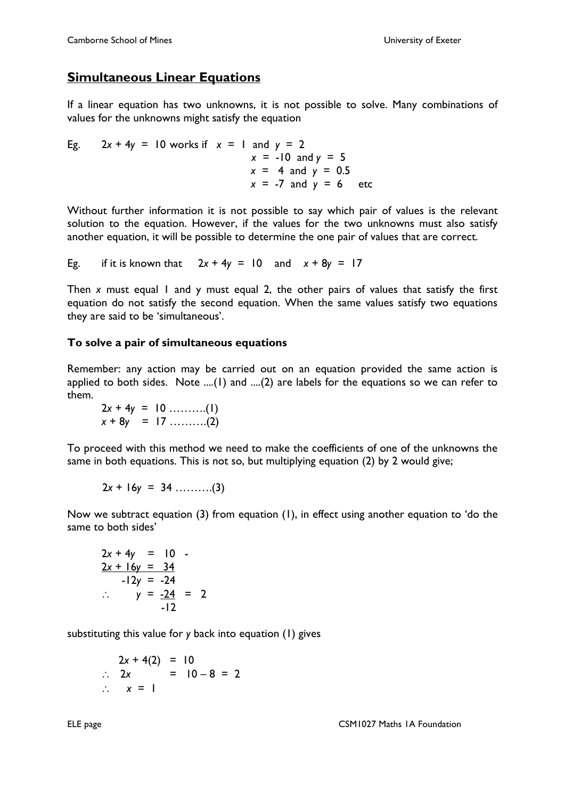## **Simultaneous Linear Equations**

If a linear equation has two unknowns, it is not possible to solve. Many combinations of values for the unknowns might satisfy the equation

Eg.  $2x + 4y = 10$  works if  $x = 1$  and  $y = 2$  $x = -10$  and  $y = 5$  $x = 4$  and  $y = 0.5$  $x = -7$  and  $y = 6$  etc

Without further information it is not possible to say which pair of values is the relevant solution to the equation. However, if the values for the two unknowns must also satisfy another equation, it will be possible to determine the one pair of values that are correct.

Eg. if it is known that  $2x + 4y = 10$  and  $x + 8y = 17$ 

Then *x* must equal 1 and y must equal 2, the other pairs of values that satisfy the first equation do not satisfy the second equation. When the same values satisfy two equations they are said to be 'simultaneous'.

## **To solve a pair of simultaneous equations**

Remember: any action may be carried out on an equation provided the same action is applied to both sides. Note ....(1) and ....(2) are labels for the equations so we can refer to them.

2*x* + 4*y* = 10 ……….(1)  $x + 8y = 17$  ………..(2)

To proceed with this method we need to make the coefficients of one of the unknowns the same in both equations. This is not so, but multiplying equation (2) by 2 would give;

$$
2x + 16y = 34
$$
........(3)

Now we subtract equation (3) from equation (1), in effect using another equation to 'do the same to both sides'

$$
2x + 4y = 10
$$
  

$$
2x + 16y = 34
$$
  
-12y = -24  

$$
\therefore y = \frac{-24}{-12} = 2
$$

substituting this value for *y* back into equation (1) gives

$$
2x + 4(2) = 10
$$
  
\n
$$
\therefore 2x = 10 - 8 = 2
$$
  
\n
$$
\therefore x = 1
$$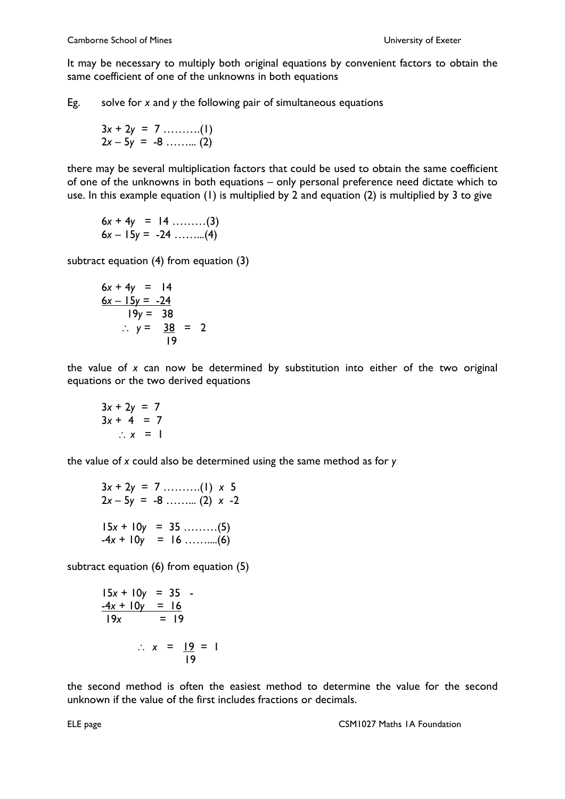It may be necessary to multiply both original equations by convenient factors to obtain the same coefficient of one of the unknowns in both equations

Eg. solve for *x* and *y* the following pair of simultaneous equations

$$
3x + 2y = 7 \dots (1)
$$
  
2x - 5y = -8 \dots (2)

there may be several multiplication factors that could be used to obtain the same coefficient of one of the unknowns in both equations – only personal preference need dictate which to use. In this e*x*ample equation (1) is multiplied by 2 and equation (2) is multiplied by 3 to give

$$
6x + 4y = 14
$$
........(3)  

$$
6x - 15y = -24
$$
........(4)

subtract equation (4) from equation (3)

$$
6x + 4y = 14
$$
  
\n
$$
6x - 15y = -24
$$
  
\n
$$
19y = 38
$$
  
\n
$$
\therefore y = \frac{38}{19} = 2
$$

the value of *x* can now be determined by substitution into either of the two original equations or the two derived equations

$$
3x + 2y = 7
$$
  

$$
3x + 4 = 7
$$
  

$$
\therefore x = 1
$$

the value of *x* could also be determined using the same method as for *y*

$$
3x + 2y = 7 \dots (1) \times 5
$$
  
\n
$$
2x - 5y = -8 \dots (2) \times -2
$$
  
\n
$$
15x + 10y = 35 \dots (5)
$$
  
\n
$$
-4x + 10y = 16 \dots (6)
$$

subtract equation (6) from equation (5)

$$
15x + 10y = 35 - 4x + 10y = 16
$$
  
\n
$$
19x = 19
$$
  
\n
$$
\therefore x = \frac{19}{19} = 1
$$

the second method is often the easiest method to determine the value for the second unknown if the value of the first includes fractions or decimals.